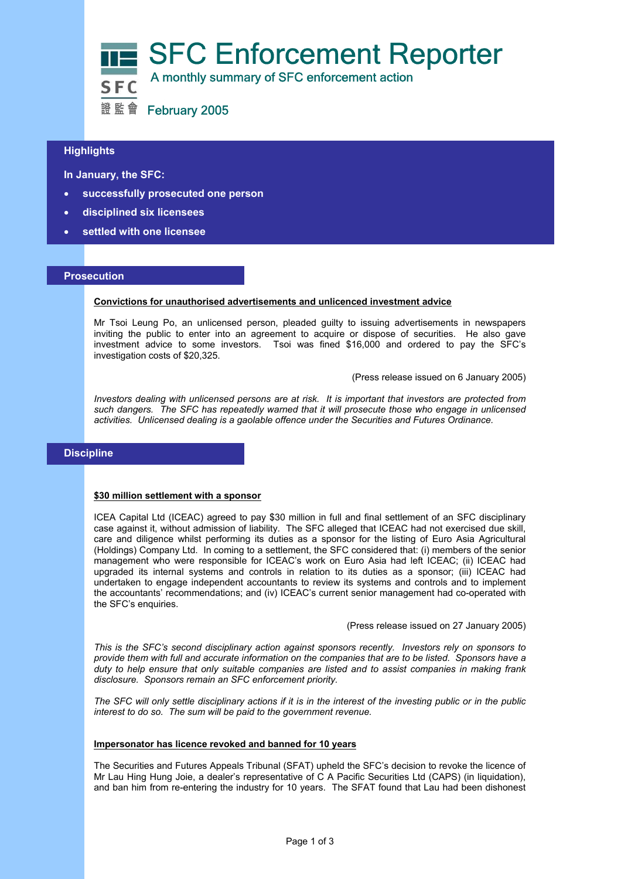

## $\overline{a}$ **Highlights**

 **In January, the SFC:** 

- **successfully prosecuted one person**
- **disciplined six licensees**
- **settled with one licensee**

### **Prosecution**

#### **Convictions for unauthorised advertisements and unlicenced investment advice**

Mr Tsoi Leung Po, an unlicensed person, pleaded guilty to issuing advertisements in newspapers inviting the public to enter into an agreement to acquire or dispose of securities. He also gave investment advice to some investors. Tsoi was fined \$16,000 and ordered to pay the SFC's investigation costs of \$20,325.

(Press release issued on 6 January 2005)

*Investors dealing with unlicensed persons are at risk. It is important that investors are protected from such dangers. The SFC has repeatedly warned that it will prosecute those who engage in unlicensed activities. Unlicensed dealing is a gaolable offence under the Securities and Futures Ordinance.*

# **Discipline**

## **\$30 million settlement with a sponsor**

ICEA Capital Ltd (ICEAC) agreed to pay \$30 million in full and final settlement of an SFC disciplinary case against it, without admission of liability. The SFC alleged that ICEAC had not exercised due skill, care and diligence whilst performing its duties as a sponsor for the listing of Euro Asia Agricultural (Holdings) Company Ltd. In coming to a settlement, the SFC considered that: (i) members of the senior management who were responsible for ICEAC's work on Euro Asia had left ICEAC; (ii) ICEAC had upgraded its internal systems and controls in relation to its duties as a sponsor; (iii) ICEAC had undertaken to engage independent accountants to review its systems and controls and to implement the accountants' recommendations; and (iv) ICEAC's current senior management had co-operated with the SFC's enquiries.

(Press release issued on 27 January 2005)

*This is the SFC's second disciplinary action against sponsors recently. Investors rely on sponsors to provide them with full and accurate information on the companies that are to be listed. Sponsors have a duty to help ensure that only suitable companies are listed and to assist companies in making frank disclosure. Sponsors remain an SFC enforcement priority.* 

*The SFC will only settle disciplinary actions if it is in the interest of the investing public or in the public interest to do so. The sum will be paid to the government revenue.* 

#### **Impersonator has licence revoked and banned for 10 years**

The Securities and Futures Appeals Tribunal (SFAT) upheld the SFC's decision to revoke the licence of Mr Lau Hing Hung Joie, a dealer's representative of C A Pacific Securities Ltd (CAPS) (in liquidation), and ban him from re-entering the industry for 10 years. The SFAT found that Lau had been dishonest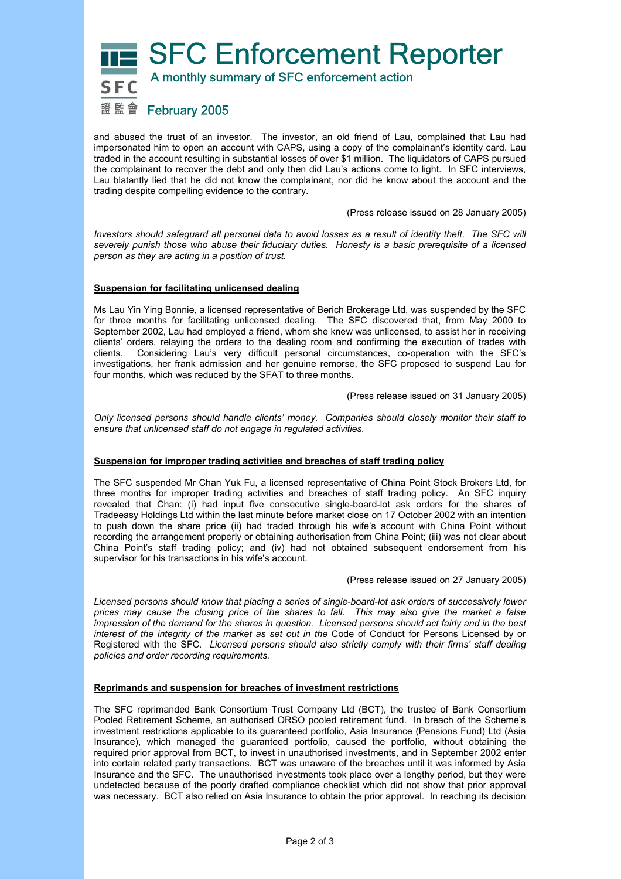**SFC Enforcement Reporter** 

# A monthly summary of SFC enforcement action

# 證監會 February 2005

and abused the trust of an investor. The investor, an old friend of Lau, complained that Lau had impersonated him to open an account with CAPS, using a copy of the complainant's identity card. Lau traded in the account resulting in substantial losses of over \$1 million. The liquidators of CAPS pursued the complainant to recover the debt and only then did Lau's actions come to light. In SFC interviews, Lau blatantly lied that he did not know the complainant, nor did he know about the account and the trading despite compelling evidence to the contrary.

(Press release issued on 28 January 2005)

*Investors should safeguard all personal data to avoid losses as a result of identity theft. The SFC will severely punish those who abuse their fiduciary duties. Honesty is a basic prerequisite of a licensed person as they are acting in a position of trust.* 

## **Suspension for facilitating unlicensed dealing**

Ms Lau Yin Ying Bonnie, a licensed representative of Berich Brokerage Ltd, was suspended by the SFC for three months for facilitating unlicensed dealing. The SFC discovered that, from May 2000 to September 2002, Lau had employed a friend, whom she knew was unlicensed, to assist her in receiving clients' orders, relaying the orders to the dealing room and confirming the execution of trades with clients. Considering Lau's very difficult personal circumstances, co-operation with the SFC's investigations, her frank admission and her genuine remorse, the SFC proposed to suspend Lau for four months, which was reduced by the SFAT to three months.

(Press release issued on 31 January 2005)

*Only licensed persons should handle clients' money. Companies should closely monitor their staff to ensure that unlicensed staff do not engage in regulated activities.* 

## **Suspension for improper trading activities and breaches of staff trading policy**

The SFC suspended Mr Chan Yuk Fu, a licensed representative of China Point Stock Brokers Ltd, for three months for improper trading activities and breaches of staff trading policy. An SFC inquiry revealed that Chan: (i) had input five consecutive single-board-lot ask orders for the shares of Tradeeasy Holdings Ltd within the last minute before market close on 17 October 2002 with an intention to push down the share price (ii) had traded through his wife's account with China Point without recording the arrangement properly or obtaining authorisation from China Point; (iii) was not clear about China Point's staff trading policy; and (iv) had not obtained subsequent endorsement from his supervisor for his transactions in his wife's account.

### (Press release issued on 27 January 2005)

*Licensed persons should know that placing a series of single-board-lot ask orders of successively lower prices may cause the closing price of the shares to fall. This may also give the market a false impression of the demand for the shares in question. Licensed persons should act fairly and in the best interest of the integrity of the market as set out in the* Code of Conduct for Persons Licensed by or Registered with the SFC*. Licensed persons should also strictly comply with their firms' staff dealing policies and order recording requirements.* 

### **Reprimands and suspension for breaches of investment restrictions**

The SFC reprimanded Bank Consortium Trust Company Ltd (BCT), the trustee of Bank Consortium Pooled Retirement Scheme, an authorised ORSO pooled retirement fund. In breach of the Scheme's investment restrictions applicable to its guaranteed portfolio, Asia Insurance (Pensions Fund) Ltd (Asia Insurance), which managed the guaranteed portfolio, caused the portfolio, without obtaining the required prior approval from BCT, to invest in unauthorised investments, and in September 2002 enter into certain related party transactions. BCT was unaware of the breaches until it was informed by Asia Insurance and the SFC. The unauthorised investments took place over a lengthy period, but they were undetected because of the poorly drafted compliance checklist which did not show that prior approval was necessary. BCT also relied on Asia Insurance to obtain the prior approval. In reaching its decision